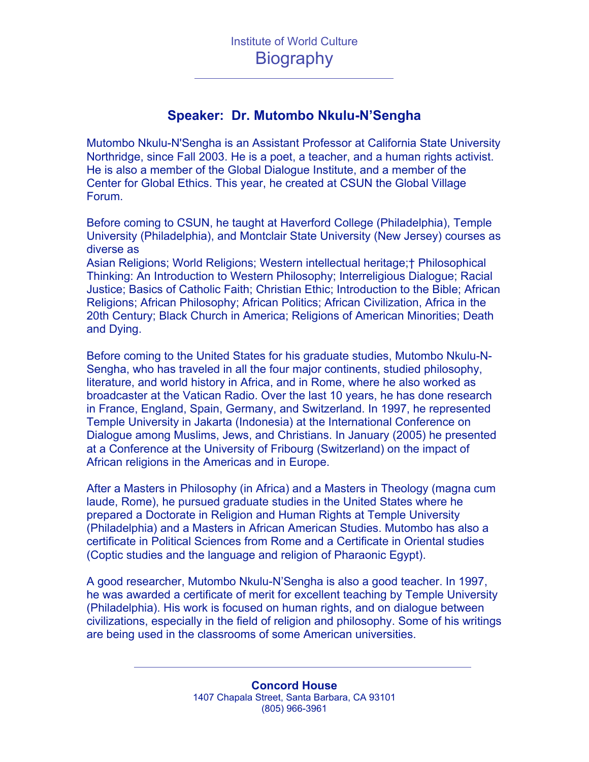## **Speaker: Dr. Mutombo Nkulu-N'Sengha**

Mutombo Nkulu-N'Sengha is an Assistant Professor at California State University Northridge, since Fall 2003. He is a poet, a teacher, and a human rights activist. He is also a member of the Global Dialogue Institute, and a member of the Center for Global Ethics. This year, he created at CSUN the Global Village Forum.

Before coming to CSUN, he taught at Haverford College (Philadelphia), Temple University (Philadelphia), and Montclair State University (New Jersey) courses as diverse as

Asian Religions; World Religions; Western intellectual heritage;† Philosophical Thinking: An Introduction to Western Philosophy; Interreligious Dialogue; Racial Justice; Basics of Catholic Faith; Christian Ethic; Introduction to the Bible; African Religions; African Philosophy; African Politics; African Civilization, Africa in the 20th Century; Black Church in America; Religions of American Minorities; Death and Dying.

Before coming to the United States for his graduate studies, Mutombo Nkulu-N-Sengha, who has traveled in all the four major continents, studied philosophy, literature, and world history in Africa, and in Rome, where he also worked as broadcaster at the Vatican Radio. Over the last 10 years, he has done research in France, England, Spain, Germany, and Switzerland. In 1997, he represented Temple University in Jakarta (Indonesia) at the International Conference on Dialogue among Muslims, Jews, and Christians. In January (2005) he presented at a Conference at the University of Fribourg (Switzerland) on the impact of African religions in the Americas and in Europe.

After a Masters in Philosophy (in Africa) and a Masters in Theology (magna cum laude, Rome), he pursued graduate studies in the United States where he prepared a Doctorate in Religion and Human Rights at Temple University (Philadelphia) and a Masters in African American Studies. Mutombo has also a certificate in Political Sciences from Rome and a Certificate in Oriental studies (Coptic studies and the language and religion of Pharaonic Egypt).

A good researcher, Mutombo Nkulu-N'Sengha is also a good teacher. In 1997, he was awarded a certificate of merit for excellent teaching by Temple University (Philadelphia). His work is focused on human rights, and on dialogue between civilizations, especially in the field of religion and philosophy. Some of his writings are being used in the classrooms of some American universities.

> **Concord House** 1407 Chapala Street, Santa Barbara, CA 93101 (805) 966-3961